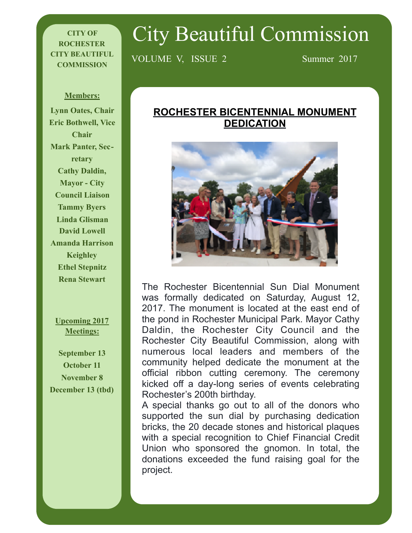#### **CITY OF ROCHESTER CITY BEAUTIFUL COMMISSION**

# City Beautiful Commission

VOLUME V, ISSUE 2 Summer 2017

#### **Members:**

**Lynn Oates, Chair Eric Bothwell, Vice Chair Mark Panter, Secretary Cathy Daldin, Mayor - City Council Liaison Tammy Byers Linda Glisman David Lowell Amanda Harrison Keighley Ethel Stepnitz Rena Stewart** 

#### **Upcoming 2017 Meetings:**

**September 13 October 11 November 8 December 13 (tbd)**

#### **ROCHESTER BICENTENNIAL MONUMENT DEDICATION**



The Rochester Bicentennial Sun Dial Monument was formally dedicated on Saturday, August 12, 2017. The monument is located at the east end of the pond in Rochester Municipal Park. Mayor Cathy Daldin, the Rochester City Council and the Rochester City Beautiful Commission, along with numerous local leaders and members of the community helped dedicate the monument at the official ribbon cutting ceremony. The ceremony kicked off a day-long series of events celebrating Rochester's 200th birthday.

A special thanks go out to all of the donors who supported the sun dial by purchasing dedication bricks, the 20 decade stones and historical plaques with a special recognition to Chief Financial Credit Union who sponsored the gnomon. In total, the donations exceeded the fund raising goal for the project.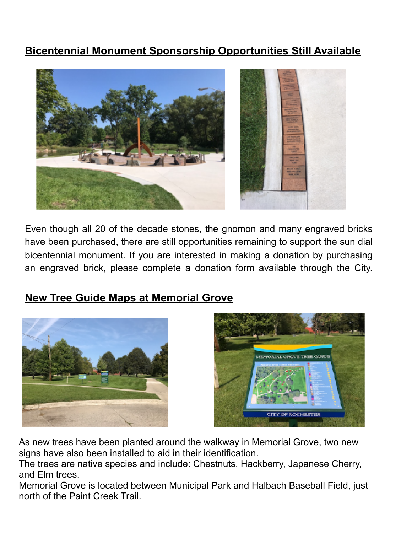## **Bicentennial Monument Sponsorship Opportunities Still Available**



Even though all 20 of the decade stones, the gnomon and many engraved bricks have been purchased, there are still opportunities remaining to support the sun dial bicentennial monument. If you are interested in making a donation by purchasing an engraved brick, please complete a donation form available through the City.

## **New Tree Guide Maps at Memorial Grove**





As new trees have been planted around the walkway in Memorial Grove, two new signs have also been installed to aid in their identification.

The trees are native species and include: Chestnuts, Hackberry, Japanese Cherry, and Elm trees.

Memorial Grove is located between Municipal Park and Halbach Baseball Field, just north of the Paint Creek Trail.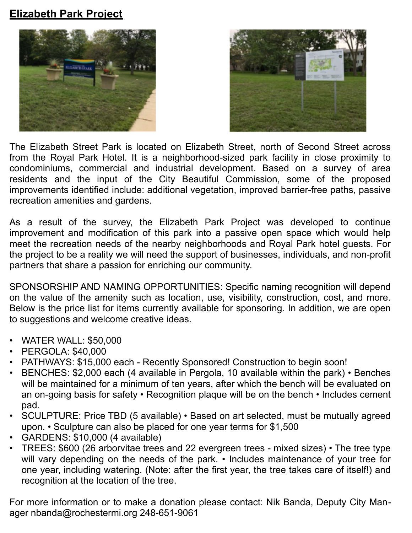## **Elizabeth Park Project**





The Elizabeth Street Park is located on Elizabeth Street, north of Second Street across from the Royal Park Hotel. It is a neighborhood-sized park facility in close proximity to condominiums, commercial and industrial development. Based on a survey of area residents and the input of the City Beautiful Commission, some of the proposed improvements identified include: additional vegetation, improved barrier-free paths, passive recreation amenities and gardens.

As a result of the survey, the Elizabeth Park Project was developed to continue improvement and modification of this park into a passive open space which would help meet the recreation needs of the nearby neighborhoods and Royal Park hotel guests. For the project to be a reality we will need the support of businesses, individuals, and non-profit partners that share a passion for enriching our community.

SPONSORSHIP AND NAMING OPPORTUNITIES: Specific naming recognition will depend on the value of the amenity such as location, use, visibility, construction, cost, and more. Below is the price list for items currently available for sponsoring. In addition, we are open to suggestions and welcome creative ideas.

- WATER WALL: \$50,000
- PERGOLA: \$40,000
- PATHWAYS: \$15,000 each Recently Sponsored! Construction to begin soon!
- BENCHES: \$2,000 each (4 available in Pergola, 10 available within the park) Benches will be maintained for a minimum of ten years, after which the bench will be evaluated on an on-going basis for safety • Recognition plaque will be on the bench • Includes cement pad.
- SCULPTURE: Price TBD (5 available) Based on art selected, must be mutually agreed upon. • Sculpture can also be placed for one year terms for \$1,500
- GARDENS: \$10,000 (4 available)
- TREES: \$600 (26 arborvitae trees and 22 evergreen trees mixed sizes) The tree type will vary depending on the needs of the park. • Includes maintenance of your tree for one year, including watering. (Note: after the first year, the tree takes care of itself!) and recognition at the location of the tree.

For more information or to make a donation please contact: Nik Banda, Deputy City Manager [nbanda@rochestermi.org](mailto:nbanda@rochestermi.org) 248-651-9061